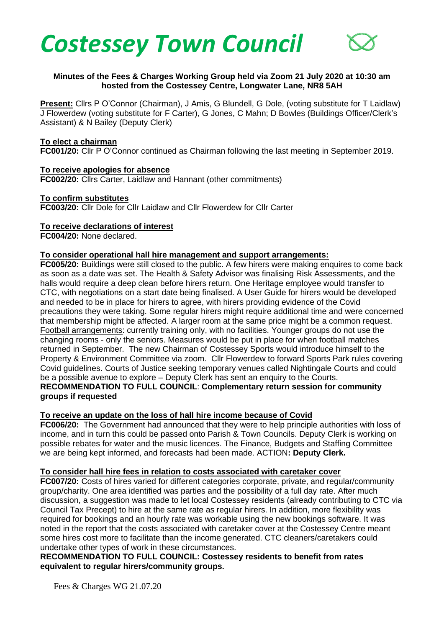



### **Minutes of the Fees & Charges Working Group held via Zoom 21 July 2020 at 10:30 am hosted from the Costessey Centre, Longwater Lane, NR8 5AH**

**Present:** Cllrs P O'Connor (Chairman), J Amis, G Blundell, G Dole, (voting substitute for T Laidlaw) J Flowerdew (voting substitute for F Carter), G Jones, C Mahn; D Bowles (Buildings Officer/Clerk's Assistant) & N Bailey (Deputy Clerk)

#### **To elect a chairman**

**FC001/20:** Cllr P O'Connor continued as Chairman following the last meeting in September 2019.

### **To receive apologies for absence**

**FC002/20:** Cllrs Carter, Laidlaw and Hannant (other commitments)

### **To confirm substitutes**

**FC003/20:** Cllr Dole for Cllr Laidlaw and Cllr Flowerdew for Cllr Carter

### **To receive declarations of interest**

**FC004/20:** None declared.

### **To consider operational hall hire management and support arrangements:**

**FC005/20:** Buildings were still closed to the public. A few hirers were making enquires to come back as soon as a date was set. The Health & Safety Advisor was finalising Risk Assessments, and the halls would require a deep clean before hirers return. One Heritage employee would transfer to CTC, with negotiations on a start date being finalised. A User Guide for hirers would be developed and needed to be in place for hirers to agree, with hirers providing evidence of the Covid precautions they were taking. Some regular hirers might require additional time and were concerned that membership might be affected. A larger room at the same price might be a common request. Football arrangements: currently training only, with no facilities. Younger groups do not use the changing rooms - only the seniors. Measures would be put in place for when football matches returned in September. The new Chairman of Costessey Sports would introduce himself to the Property & Environment Committee via zoom. Cllr Flowerdew to forward Sports Park rules covering Covid guidelines. Courts of Justice seeking temporary venues called Nightingale Courts and could be a possible avenue to explore – Deputy Clerk has sent an enquiry to the Courts. **RECOMMENDATION TO FULL COUNCIL**: **Complementary return session for community groups if requested** 

## **To receive an update on the loss of hall hire income because of Covid**

**FC006/20:** The Government had announced that they were to help principle authorities with loss of income, and in turn this could be passed onto Parish & Town Councils. Deputy Clerk is working on possible rebates for water and the music licences. The Finance, Budgets and Staffing Committee we are being kept informed, and forecasts had been made. ACTION**: Deputy Clerk.**

## **To consider hall hire fees in relation to costs associated with caretaker cover**

**FC007/20:** Costs of hires varied for different categories corporate, private, and regular/community group/charity. One area identified was parties and the possibility of a full day rate. After much discussion, a suggestion was made to let local Costessey residents (already contributing to CTC via Council Tax Precept) to hire at the same rate as regular hirers. In addition, more flexibility was required for bookings and an hourly rate was workable using the new bookings software. It was noted in the report that the costs associated with caretaker cover at the Costessey Centre meant some hires cost more to facilitate than the income generated. CTC cleaners/caretakers could undertake other types of work in these circumstances.

## **RECOMMENDATION TO FULL COUNCIL: Costessey residents to benefit from rates equivalent to regular hirers/community groups.**

Fees & Charges WG 21.07.20